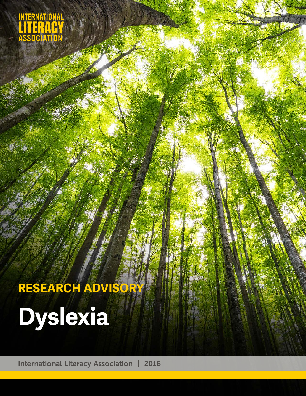INTERNATIONAL<br>LITERACY<br>ASSOCIATION

# **Dyslexia RESEARCH ADVISORY**

International Literacy Association | 2016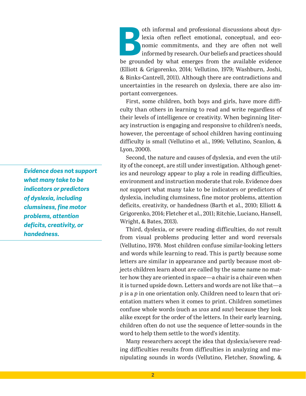oth informal and professional discussions about dyslexia often reflect emotional, conceptual, and economic commitments, and they are often not well informed by research. Our beliefs and practices should be grounded by what lexia often reflect emotional, conceptual, and economic commitments, and they are often not well informed by research. Our beliefs and practices should (Elliott & Grigorenko, 2014; Vellutino, 1979; Washburn, Joshi, & Binks-Cantrell, 2011). Although there are contradictions and uncertainties in the research on dyslexia, there are also important convergences.

First, some children, both boys and girls, have more difficulty than others in learning to read and write regardless of their levels of intelligence or creativity. When beginning literacy instruction is engaging and responsive to children's needs, however, the percentage of school children having continuing difficulty is small (Vellutino et al., 1996; Vellutino, Scanlon, & Lyon, 2000).

Second, the nature and causes of dyslexia, and even the utility of the concept, are still under investigation. Although genetics and neurology appear to play a role in reading difficulties, environment and instruction moderate that role. Evidence does *not* support what many take to be indicators or predictors of dyslexia, including clumsiness, fine motor problems, attention deficits, creativity, or handedness (Barth et al., 2010; Elliott & Grigorenko, 2014; Fletcher et al., 2011; Ritchie, Luciano, Hansell, Wright, & Bates, 2013).

Third, dyslexia, or severe reading difficulties, do *not* result from visual problems producing letter and word reversals (Vellutino, 1979). Most children confuse similar-looking letters and words while learning to read. This is partly because some letters are similar in appearance and partly because most objects children learn about are called by the same name no matter how they are oriented in space—a chair is a chair even when it is turned upside down. Letters and words are not like that—a *p* is a *p* in one orientation only. Children need to learn that orientation matters when it comes to print. Children sometimes confuse whole words (such as *was* and *saw*) because they look alike except for the order of the letters. In their early learning, children often do not use the sequence of letter-sounds in the word to help them settle to the word's identity.

Many researchers accept the idea that dyslexia/severe reading difficulties results from difficulties in analyzing and manipulating sounds in words (Vellutino, Fletcher, Snowling, &

*Evidence does* **not** *support what many take to be indicators or predictors of dyslexia, including clumsiness, fine motor problems, attention deficits, creativity, or handedness.*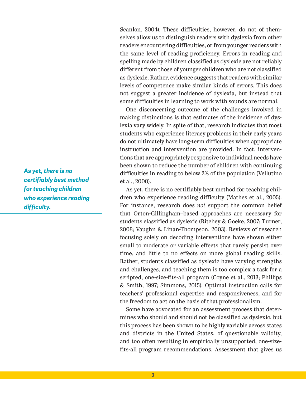Scanlon, 2004). These difficulties, however, do not of themselves allow us to distinguish readers with dyslexia from other readers encountering difficulties, or from younger readers with the same level of reading proficiency. Errors in reading and spelling made by children classified as dyslexic are not reliably different from those of younger children who are not classified as dyslexic. Rather, evidence suggests that readers with similar levels of competence make similar kinds of errors. This does not suggest a greater incidence of dyslexia, but instead that some difficulties in learning to work with sounds are normal.

One disconcerting outcome of the challenges involved in making distinctions is that estimates of the incidence of dyslexia vary widely. In spite of that, research indicates that most students who experience literacy problems in their early years do not ultimately have long-term difficulties when appropriate instruction and intervention are provided. In fact, interventions that are appropriately responsive to individual needs have been shown to reduce the number of children with continuing difficulties in reading to below 2% of the population (Vellutino et al., 2000).

As yet, there is no certifiably best method for teaching children who experience reading difficulty (Mathes et al., 2005). For instance, research does *not* support the common belief that Orton-Gillingham–based approaches are necessary for students classified as dyslexic (Ritchey & Goeke, 2007; Turner, 2008; Vaughn & Linan-Thompson, 2003). Reviews of research focusing solely on decoding interventions have shown either small to moderate or variable effects that rarely persist over time, and little to no effects on more global reading skills. Rather, students classified as dyslexic have varying strengths and challenges, and teaching them is too complex a task for a scripted, one-size-fits-all program (Coyne et al., 2013; Phillips & Smith, 1997; Simmons, 2015). Optimal instruction calls for teachers' professional expertise and responsiveness, and for the freedom to act on the basis of that professionalism.

Some have advocated for an assessment process that determines who should and should not be classified as dyslexic, but this process has been shown to be highly variable across states and districts in the United States, of questionable validity, and too often resulting in empirically unsupported, one-sizefits-all program recommendations. Assessment that gives us

*As yet, there is no certifiably best method for teaching children who experience reading difficulty.*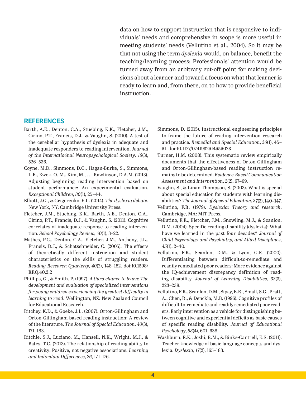data on how to support instruction that is responsive to individuals' needs and comprehensive in scope is more useful in meeting students' needs (Vellutino et al., 2004). So it may be that not using the term *dyslexia* would, on balance, benefit the teaching/learning process: Professionals' attention would be turned away from an arbitrary cut-off point for making decisions about a learner and toward a focus on what that learner is ready to learn and, from there, on to how to provide beneficial instruction.

## **REFERENCES**

- Barth, A.E., Denton, C.A., Stuebing, K.K., Fletcher, J.M., Cirino, P.T., Francis, D.J., & Vaughn, S. (2010). A test of the cerebellar hypothesis of dyslexia in adequate and inadequate responders to reading intervention. *Journal of the Internatio4nal Neuropsychological Society*, *16*(3), 526–536.
- Coyne, M.D., Simmons, D.C., Hagan-Burke, S., Simmons, L.E., Kwok, O.-M., Kim, M., . . . Rawlinson, D.A.M. (2013). Adjusting beginning reading intervention based on student performance: An experimental evaluation. *Exceptional Children*, *80*(1), 25–44.
- Elliott, J.G., & Grigorenko, E.L. (2014). *The dyslexia debate*. New York, NY: Cambridge University Press.
- Fletcher, J.M., Stuebing, K.K., Barth, A.E., Denton, C.A., Cirino, P.T., Francis, D.J., & Vaughn, S. (2011). Cognitive correlates of inadequate response to reading intervention. *School Psychology Review*, *40*(1), 3–22.
- Mathes, P.G., Denton, C.A., Fletcher, J.M., Anthony, J.L., Francis, D.J., & Schatschneider, C. (2005). The effects of theoretically different instruction and student characteristics on the skills of struggling readers. *Reading Research Quarterly*, *40*(2), 148–182. doi:10.1598/ RRQ.40.2.2
- Phillips, G., & Smith, P. (1997). *A third chance to learn: The development and evaluation of specialized interventions for young children experiencing the greatest difficulty in learning to read*. Wellington, NZ: New Zealand Council for Educational Research.
- Ritchey, K.D., & Goeke, J.L. (2007). Orton-Gillingham and Orton-Gillingham-based reading instruction: A review of the literature. *The Journal of Special Education*, *40*(3), 171–183.
- Ritchie, S.J., Luciano, M., Hansell, N.K., Wright, M.J., & Bates, T.C. (2013). The relationship of reading ability to creativity: Positive, not negative associations. *Learning and Individual Differences*, *26*, 171–176.
- Simmons, D. (2015). Instructional engineering principles to frame the future of reading intervention research and practice. *Remedial and Special Education*, *36*(1), 45– 51. doi:10.1177/0741932514555023
- Turner, H.M. (2008). This systematic review empirically documents that the effectiveness of Orton-Gillingham and Orton-Gillingham-based reading instruction remains to be determined. *Evidence-Based Communication Assessment and Intervention*, *2*(2), 67–69.
- Vaughn, S., & Linan-Thompson, S. (2003). What is special about special education for students with learning disabilities? *The Journal of Special Education*, *3*7(3), 140–147.
- Vellutino, F.R. (1979). *Dyslexia: Theory and research*. Cambridge, MA: MIT Press.
- Vellutino, F.R., Fletcher, J.M., Snowling, M.J., & Scanlon, D.M. (2004). Specific reading disability (dyslexia): What have we learned in the past four decades? *Journal of Child Psychology and Psychiatry, and Allied Disciplines*, *45*(1), 2–40.
- Vellutino, F.R., Scanlon, D.M., & Lyon, G.R. (2000). Differentiating between difficult-to-remediate and readily remediated poor readers: More evidence against the IQ-achievement discrepancy definition of reading disability. *Journal of Learning Disabilities*, *33*(3), 223–238.
- Vellutino, F.R., Scanlon, D.M., Sipay, E.R., Small, S.G., Pratt, A., Chen, R., & Denckla, M.B. (1996). Cognitive profiles of difficult-to-remediate and readily remediated poor readers: Early intervention as a vehicle for distinguishing between cognitive and experiential deficits as basic causes of specific reading disability. *Journal of Educational Psychology*, *88*(4), 601–638.
- Washburn, E.K., Joshi, R.M., & Binks-Cantrell, E.S. (2011). Teacher knowledge of basic language concepts and dyslexia. *Dyslexia*, *1*7(2), 165–183.